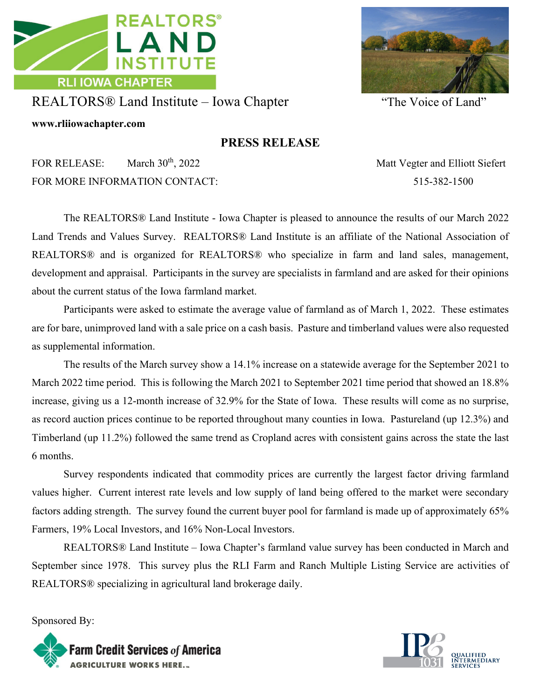

REALTORS® Land Institute – Iowa Chapter "The Voice of Land"

**www.rliiowachapter.com**

## **PRESS RELEASE**

FOR RELEASE: March 30<sup>th</sup>, 2022 Matt Vegter and Elliott Siefert FOR MORE INFORMATION CONTACT: 515-382-1500

The REALTORS® Land Institute - Iowa Chapter is pleased to announce the results of our March 2022 Land Trends and Values Survey. REALTORS® Land Institute is an affiliate of the National Association of REALTORS® and is organized for REALTORS® who specialize in farm and land sales, management, development and appraisal. Participants in the survey are specialists in farmland and are asked for their opinions about the current status of the Iowa farmland market.

Participants were asked to estimate the average value of farmland as of March 1, 2022. These estimates are for bare, unimproved land with a sale price on a cash basis. Pasture and timberland values were also requested as supplemental information.

The results of the March survey show a 14.1% increase on a statewide average for the September 2021 to March 2022 time period. This is following the March 2021 to September 2021 time period that showed an 18.8% increase, giving us a 12-month increase of 32.9% for the State of Iowa. These results will come as no surprise, as record auction prices continue to be reported throughout many counties in Iowa. Pastureland (up 12.3%) and Timberland (up 11.2%) followed the same trend as Cropland acres with consistent gains across the state the last 6 months.

Survey respondents indicated that commodity prices are currently the largest factor driving farmland values higher. Current interest rate levels and low supply of land being offered to the market were secondary factors adding strength. The survey found the current buyer pool for farmland is made up of approximately 65% Farmers, 19% Local Investors, and 16% Non-Local Investors.

REALTORS® Land Institute – Iowa Chapter's farmland value survey has been conducted in March and September since 1978. This survey plus the RLI Farm and Ranch Multiple Listing Service are activities of REALTORS® specializing in agricultural land brokerage daily.

Sponsored By: